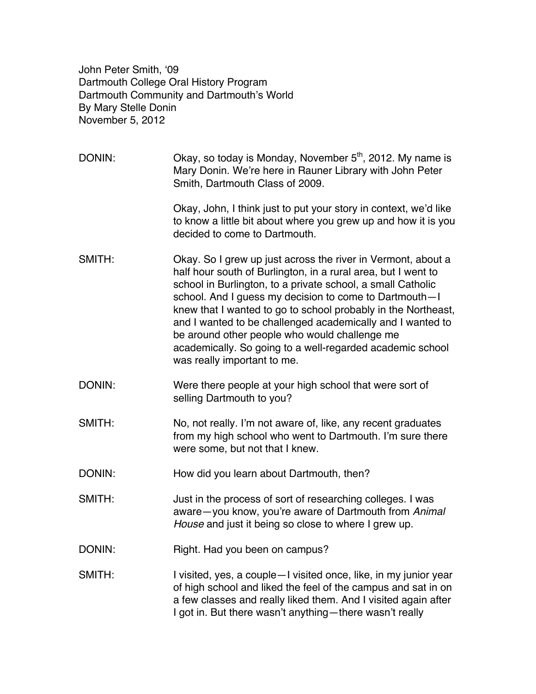John Peter Smith, ʻ09 Dartmouth College Oral History Program Dartmouth Community and Dartmouth's World By Mary Stelle Donin November 5, 2012

DONIN: Okay, so today is Monday, November  $5<sup>th</sup>$ , 2012. My name is Mary Donin. We're here in Rauner Library with John Peter Smith, Dartmouth Class of 2009.

> Okay, John, I think just to put your story in context, we'd like to know a little bit about where you grew up and how it is you decided to come to Dartmouth.

- SMITH: Okay. So I grew up just across the river in Vermont, about a half hour south of Burlington, in a rural area, but I went to school in Burlington, to a private school, a small Catholic school. And I guess my decision to come to Dartmouth—I knew that I wanted to go to school probably in the Northeast, and I wanted to be challenged academically and I wanted to be around other people who would challenge me academically. So going to a well-regarded academic school was really important to me.
- DONIN: Were there people at your high school that were sort of selling Dartmouth to you?
- SMITH: No, not really. I'm not aware of, like, any recent graduates from my high school who went to Dartmouth. I'm sure there were some, but not that I knew.
- DONIN: How did you learn about Dartmouth, then?
- SMITH: Just in the process of sort of researching colleges. I was aware—you know, you're aware of Dartmouth from *Animal House* and just it being so close to where I grew up.
- DONIN: Right. Had you been on campus?
- SMITH: I visited, yes, a couple I visited once, like, in my junior year of high school and liked the feel of the campus and sat in on a few classes and really liked them. And I visited again after I got in. But there wasn't anything—there wasn't really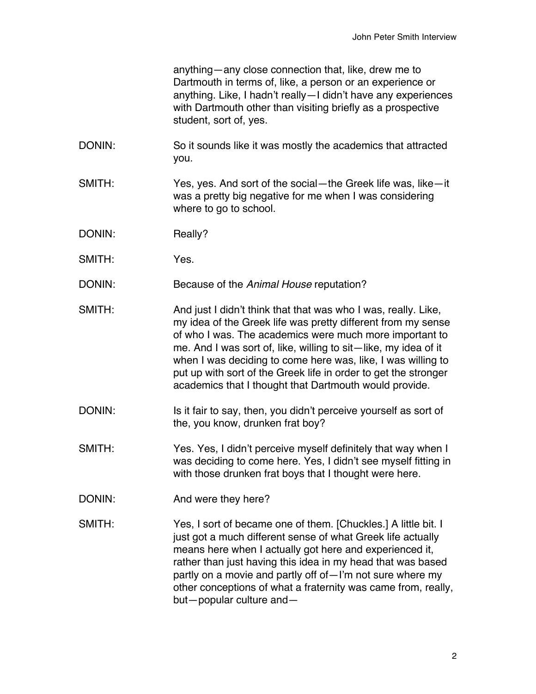anything—any close connection that, like, drew me to Dartmouth in terms of, like, a person or an experience or anything. Like, I hadn't really—I didn't have any experiences with Dartmouth other than visiting briefly as a prospective student, sort of, yes.

- DONIN: So it sounds like it was mostly the academics that attracted you.
- SMITH: Yes, yes. And sort of the social—the Greek life was, like—it was a pretty big negative for me when I was considering where to go to school.
- DONIN: Really?
- SMITH: Yes.
- DONIN: Because of the *Animal House* reputation?
- SMITH: And just I didn't think that that was who I was, really. Like, my idea of the Greek life was pretty different from my sense of who I was. The academics were much more important to me. And I was sort of, like, willing to sit—like, my idea of it when I was deciding to come here was, like, I was willing to put up with sort of the Greek life in order to get the stronger academics that I thought that Dartmouth would provide.
- DONIN: Is it fair to say, then, you didn't perceive yourself as sort of the, you know, drunken frat boy?
- SMITH: Yes. Yes, I didn't perceive myself definitely that way when I was deciding to come here. Yes, I didn't see myself fitting in with those drunken frat boys that I thought were here.
- DONIN: And were they here?
- SMITH: Yes, I sort of became one of them. [Chuckles.] A little bit. I just got a much different sense of what Greek life actually means here when I actually got here and experienced it, rather than just having this idea in my head that was based partly on a movie and partly off of—I'm not sure where my other conceptions of what a fraternity was came from, really, but—popular culture and—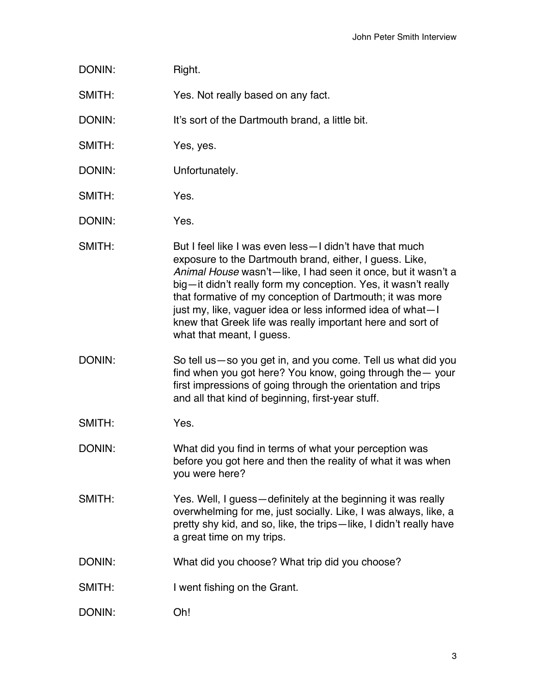DONIN: Right. SMITH: Yes. Not really based on any fact. DONIN: It's sort of the Dartmouth brand, a little bit. SMITH: Yes, yes. DONIN: Unfortunately. SMITH: Yes. DONIN: Yes. SMITH: But I feel like I was even less—I didn't have that much exposure to the Dartmouth brand, either, I guess. Like, *Animal House* wasn't—like, I had seen it once, but it wasn't a big—it didn't really form my conception. Yes, it wasn't really that formative of my conception of Dartmouth; it was more just my, like, vaguer idea or less informed idea of what—I knew that Greek life was really important here and sort of what that meant, I guess. DONIN: So tell us—so you get in, and you come. Tell us what did you find when you got here? You know, going through the— your first impressions of going through the orientation and trips and all that kind of beginning, first-year stuff. SMITH: Yes. DONIN: What did you find in terms of what your perception was before you got here and then the reality of what it was when you were here? SMITH: Yes. Well, I guess—definitely at the beginning it was really overwhelming for me, just socially. Like, I was always, like, a pretty shy kid, and so, like, the trips—like, I didn't really have a great time on my trips. DONIN: What did you choose? What trip did you choose? SMITH: I went fishing on the Grant. DONIN: Oh!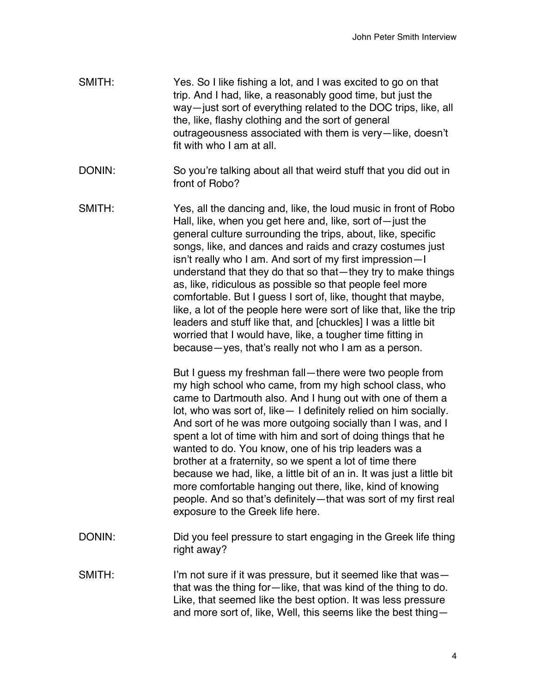- SMITH: Yes. So I like fishing a lot, and I was excited to go on that trip. And I had, like, a reasonably good time, but just the way—just sort of everything related to the DOC trips, like, all the, like, flashy clothing and the sort of general outrageousness associated with them is very—like, doesn't fit with who I am at all.
- DONIN: So you're talking about all that weird stuff that you did out in front of Robo?
- SMITH: Yes, all the dancing and, like, the loud music in front of Robo Hall, like, when you get here and, like, sort of—just the general culture surrounding the trips, about, like, specific songs, like, and dances and raids and crazy costumes just isn't really who I am. And sort of my first impression—I understand that they do that so that—they try to make things as, like, ridiculous as possible so that people feel more comfortable. But I guess I sort of, like, thought that maybe, like, a lot of the people here were sort of like that, like the trip leaders and stuff like that, and [chuckles] I was a little bit worried that I would have, like, a tougher time fitting in because—yes, that's really not who I am as a person.

But I guess my freshman fall—there were two people from my high school who came, from my high school class, who came to Dartmouth also. And I hung out with one of them a lot, who was sort of, like— I definitely relied on him socially. And sort of he was more outgoing socially than I was, and I spent a lot of time with him and sort of doing things that he wanted to do. You know, one of his trip leaders was a brother at a fraternity, so we spent a lot of time there because we had, like, a little bit of an in. It was just a little bit more comfortable hanging out there, like, kind of knowing people. And so that's definitely—that was sort of my first real exposure to the Greek life here.

- DONIN: DONIN: Did you feel pressure to start engaging in the Greek life thing right away?
- SMITH: I'm not sure if it was pressure, but it seemed like that was that was the thing for—like, that was kind of the thing to do. Like, that seemed like the best option. It was less pressure and more sort of, like, Well, this seems like the best thing—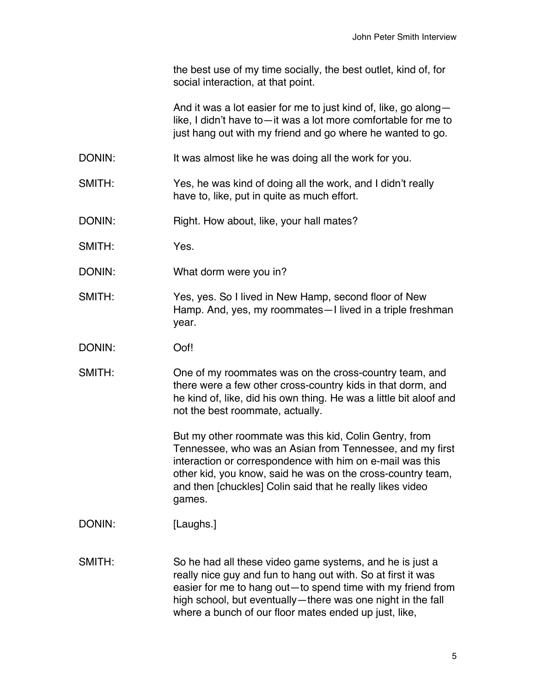the best use of my time socially, the best outlet, kind of, for social interaction, at that point.

And it was a lot easier for me to just kind of, like, go along like, I didn't have to—it was a lot more comfortable for me to just hang out with my friend and go where he wanted to go.

- DONIN: It was almost like he was doing all the work for you.
- SMITH: Yes, he was kind of doing all the work, and I didn't really have to, like, put in quite as much effort.
- DONIN: Right. How about, like, your hall mates?
- SMITH: Yes.
- DONIN: What dorm were you in?
- SMITH: Yes, yes. So I lived in New Hamp, second floor of New Hamp. And, yes, my roommates—I lived in a triple freshman year.
- DONIN: Oof!
- SMITH: One of my roommates was on the cross-country team, and there were a few other cross-country kids in that dorm, and he kind of, like, did his own thing. He was a little bit aloof and not the best roommate, actually.

But my other roommate was this kid, Colin Gentry, from Tennessee, who was an Asian from Tennessee, and my first interaction or correspondence with him on e-mail was this other kid, you know, said he was on the cross-country team, and then [chuckles] Colin said that he really likes video games.

DONIN: [Laughs.]

SMITH: So he had all these video game systems, and he is just a really nice guy and fun to hang out with. So at first it was easier for me to hang out—to spend time with my friend from high school, but eventually—there was one night in the fall where a bunch of our floor mates ended up just, like,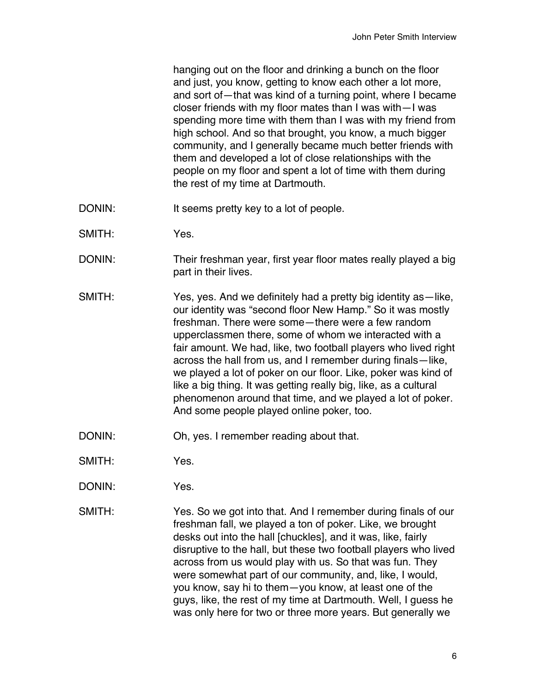hanging out on the floor and drinking a bunch on the floor and just, you know, getting to know each other a lot more, and sort of—that was kind of a turning point, where I became closer friends with my floor mates than I was with—I was spending more time with them than I was with my friend from high school. And so that brought, you know, a much bigger community, and I generally became much better friends with them and developed a lot of close relationships with the people on my floor and spent a lot of time with them during the rest of my time at Dartmouth.

- DONIN: It seems pretty key to a lot of people.
- SMITH: Yes.
- DONIN: Their freshman year, first year floor mates really played a big part in their lives.
- SMITH: Yes, yes. And we definitely had a pretty big identity as—like, our identity was "second floor New Hamp." So it was mostly freshman. There were some—there were a few random upperclassmen there, some of whom we interacted with a fair amount. We had, like, two football players who lived right across the hall from us, and I remember during finals—like, we played a lot of poker on our floor. Like, poker was kind of like a big thing. It was getting really big, like, as a cultural phenomenon around that time, and we played a lot of poker. And some people played online poker, too.
- DONIN: Oh, yes. I remember reading about that.
- SMITH: Yes.
- DONIN: Yes.
- SMITH: Yes. So we got into that. And I remember during finals of our freshman fall, we played a ton of poker. Like, we brought desks out into the hall [chuckles], and it was, like, fairly disruptive to the hall, but these two football players who lived across from us would play with us. So that was fun. They were somewhat part of our community, and, like, I would, you know, say hi to them—you know, at least one of the guys, like, the rest of my time at Dartmouth. Well, I guess he was only here for two or three more years. But generally we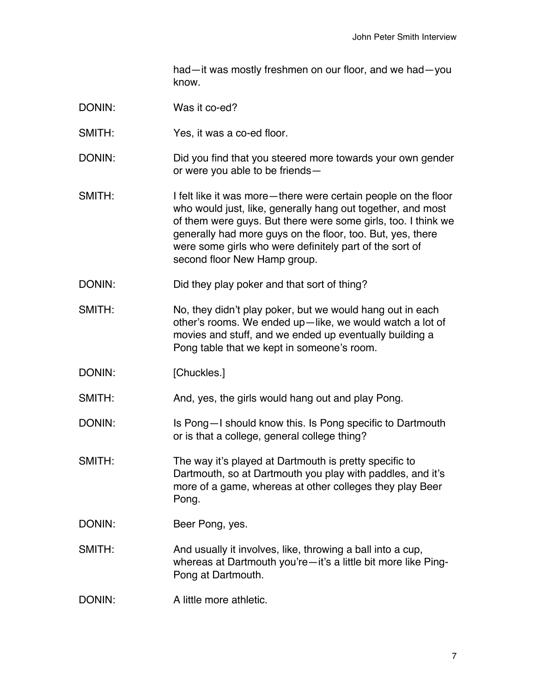had—it was mostly freshmen on our floor, and we had—you know.

- DONIN: Was it co-ed?
- SMITH: Yes, it was a co-ed floor.
- DONIN: Did you find that you steered more towards your own gender or were you able to be friends—
- SMITH: I felt like it was more—there were certain people on the floor who would just, like, generally hang out together, and most of them were guys. But there were some girls, too. I think we generally had more guys on the floor, too. But, yes, there were some girls who were definitely part of the sort of second floor New Hamp group.
- DONIN: Did they play poker and that sort of thing?
- SMITH: No, they didn't play poker, but we would hang out in each other's rooms. We ended up—like, we would watch a lot of movies and stuff, and we ended up eventually building a Pong table that we kept in someone's room.
- DONIN: [Chuckles.]
- SMITH: And, yes, the girls would hang out and play Pong.
- DONIN: Is Pong-I should know this. Is Pong specific to Dartmouth or is that a college, general college thing?
- SMITH: The way it's played at Dartmouth is pretty specific to Dartmouth, so at Dartmouth you play with paddles, and it's more of a game, whereas at other colleges they play Beer Pong.
- DONIN: Beer Pong, yes.
- SMITH: And usually it involves, like, throwing a ball into a cup, whereas at Dartmouth you're—it's a little bit more like Ping-Pong at Dartmouth.
- DONIN: A little more athletic.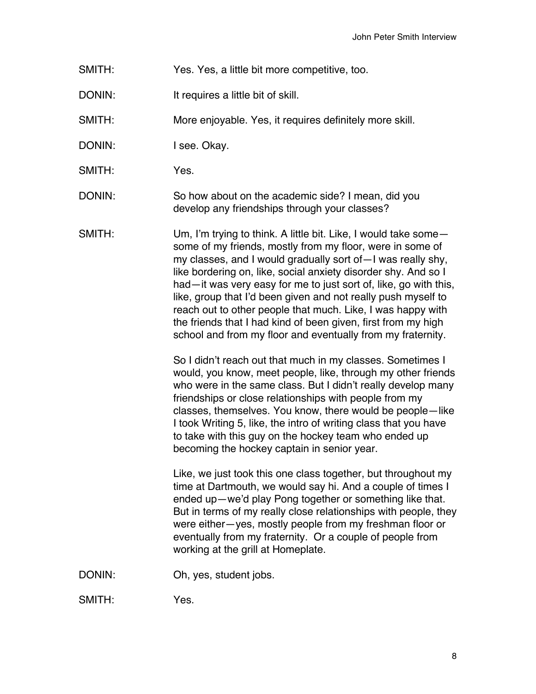- SMITH: Yes. Yes, a little bit more competitive, too.
- DONIN: It requires a little bit of skill.
- SMITH: More enjoyable. Yes, it requires definitely more skill.
- DONIN: I see. Okay.
- SMITH: Yes.
- DONIN: So how about on the academic side? I mean, did you develop any friendships through your classes?
- SMITH: Um, I'm trying to think. A little bit. Like, I would take some some of my friends, mostly from my floor, were in some of my classes, and I would gradually sort of—I was really shy, like bordering on, like, social anxiety disorder shy. And so I had—it was very easy for me to just sort of, like, go with this, like, group that I'd been given and not really push myself to reach out to other people that much. Like, I was happy with the friends that I had kind of been given, first from my high school and from my floor and eventually from my fraternity.

So I didn't reach out that much in my classes. Sometimes I would, you know, meet people, like, through my other friends who were in the same class. But I didn't really develop many friendships or close relationships with people from my classes, themselves. You know, there would be people—like I took Writing 5, like, the intro of writing class that you have to take with this guy on the hockey team who ended up becoming the hockey captain in senior year.

Like, we just took this one class together, but throughout my time at Dartmouth, we would say hi. And a couple of times I ended up—we'd play Pong together or something like that. But in terms of my really close relationships with people, they were either—yes, mostly people from my freshman floor or eventually from my fraternity. Or a couple of people from working at the grill at Homeplate.

DONIN: Oh, yes, student jobs.

SMITH: Yes.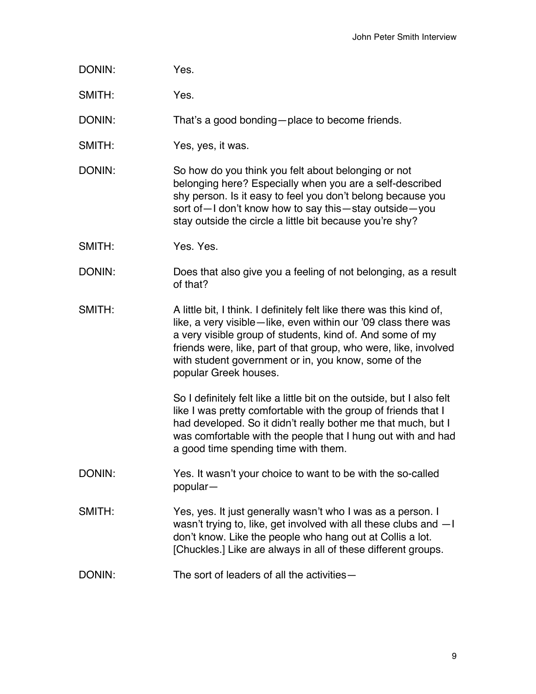DONIN: Yes.

SMITH: Yes.

DONIN: That's a good bonding—place to become friends.

SMITH: Yes, ves, it was.

DONIN: So how do you think you felt about belonging or not belonging here? Especially when you are a self-described shy person. Is it easy to feel you don't belong because you sort of—I don't know how to say this—stay outside—you stay outside the circle a little bit because you're shy?

- SMITH: Yes. Yes.
- DONIN: Does that also give you a feeling of not belonging, as a result of that?
- SMITH: A little bit, I think. I definitely felt like there was this kind of, like, a very visible—like, even within our '09 class there was a very visible group of students, kind of. And some of my friends were, like, part of that group, who were, like, involved with student government or in, you know, some of the popular Greek houses.

So I definitely felt like a little bit on the outside, but I also felt like I was pretty comfortable with the group of friends that I had developed. So it didn't really bother me that much, but I was comfortable with the people that I hung out with and had a good time spending time with them.

- DONIN: Yes. It wasn't your choice to want to be with the so-called popular—
- SMITH: Yes, yes. It just generally wasn't who I was as a person. I wasn't trying to, like, get involved with all these clubs and —I don't know. Like the people who hang out at Collis a lot. [Chuckles.] Like are always in all of these different groups.
- DONIN: The sort of leaders of all the activities—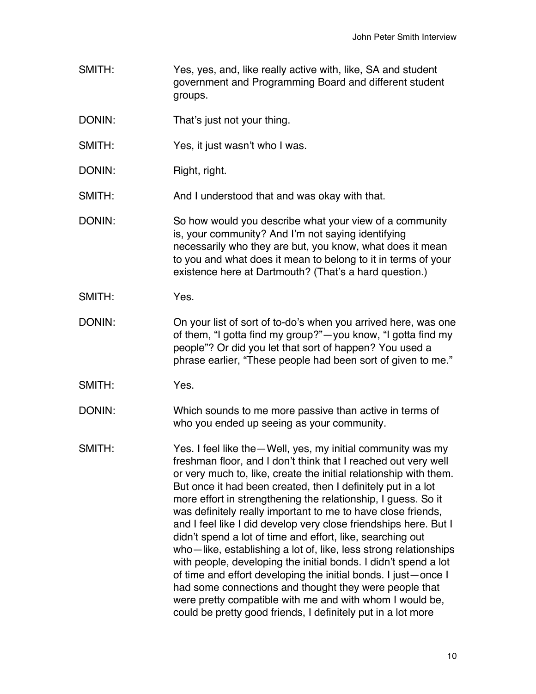- SMITH: Yes, yes, and, like really active with, like, SA and student government and Programming Board and different student groups.
- DONIN: That's just not your thing.
- SMITH: Yes, it just wasn't who I was.
- DONIN: Right, right.
- SMITH: And I understood that and was okay with that.
- DONIN: So how would you describe what your view of a community is, your community? And I'm not saying identifying necessarily who they are but, you know, what does it mean to you and what does it mean to belong to it in terms of your existence here at Dartmouth? (That's a hard question.)
- SMITH: Yes.
- DONIN: On your list of sort of to-do's when you arrived here, was one of them, "I gotta find my group?"—you know, "I gotta find my people"? Or did you let that sort of happen? You used a phrase earlier, "These people had been sort of given to me."
- SMITH: Yes.

DONIN: Which sounds to me more passive than active in terms of who you ended up seeing as your community.

SMITH: Yes. I feel like the—Well, yes, my initial community was my freshman floor, and I don't think that I reached out very well or very much to, like, create the initial relationship with them. But once it had been created, then I definitely put in a lot more effort in strengthening the relationship, I guess. So it was definitely really important to me to have close friends, and I feel like I did develop very close friendships here. But I didn't spend a lot of time and effort, like, searching out who—like, establishing a lot of, like, less strong relationships with people, developing the initial bonds. I didn't spend a lot of time and effort developing the initial bonds. I just—once I had some connections and thought they were people that were pretty compatible with me and with whom I would be, could be pretty good friends, I definitely put in a lot more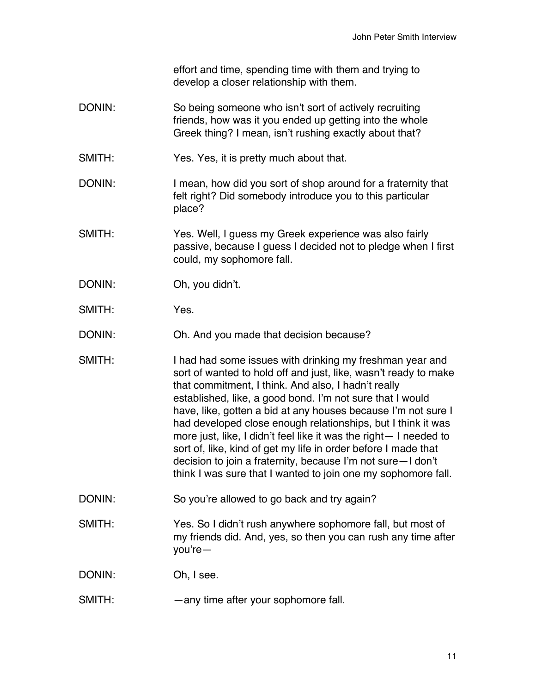effort and time, spending time with them and trying to develop a closer relationship with them.

- DONIN: So being someone who isn't sort of actively recruiting friends, how was it you ended up getting into the whole Greek thing? I mean, isn't rushing exactly about that?
- SMITH: Yes. Yes, it is pretty much about that.
- DONIN: I mean, how did you sort of shop around for a fraternity that felt right? Did somebody introduce you to this particular place?
- SMITH: Yes. Well, I guess my Greek experience was also fairly passive, because I guess I decided not to pledge when I first could, my sophomore fall.
- DONIN: Oh, you didn't.
- SMITH: Yes.
- DONIN: Oh. And you made that decision because?
- SMITH: I had had some issues with drinking my freshman year and sort of wanted to hold off and just, like, wasn't ready to make that commitment, I think. And also, I hadn't really established, like, a good bond. I'm not sure that I would have, like, gotten a bid at any houses because I'm not sure I had developed close enough relationships, but I think it was more just, like, I didn't feel like it was the right— I needed to sort of, like, kind of get my life in order before I made that decision to join a fraternity, because I'm not sure—I don't think I was sure that I wanted to join one my sophomore fall.
- DONIN: So you're allowed to go back and try again?
- SMITH: Yes. So I didn't rush anywhere sophomore fall, but most of my friends did. And, yes, so then you can rush any time after you're—
- DONIN: Oh, I see.
- SMITH: — any time after your sophomore fall.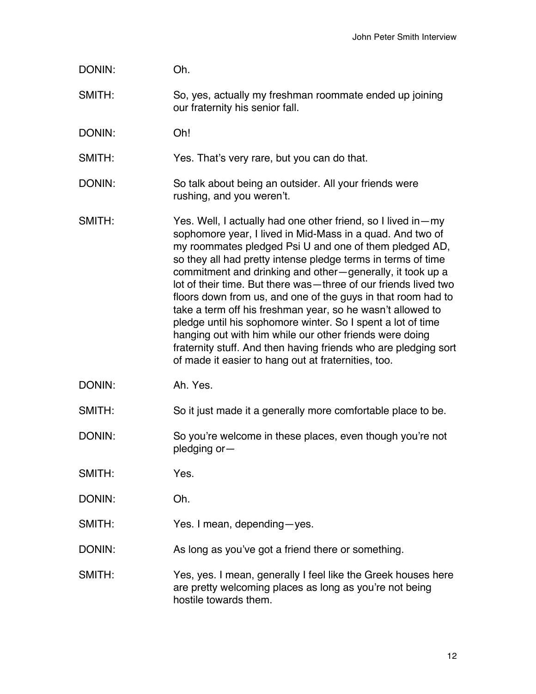| DONIN: | Oh.                                                                                                                                                                                                                                                                                                                                                                                                                                                                                                                                                                                                                                                                                                                                                                   |
|--------|-----------------------------------------------------------------------------------------------------------------------------------------------------------------------------------------------------------------------------------------------------------------------------------------------------------------------------------------------------------------------------------------------------------------------------------------------------------------------------------------------------------------------------------------------------------------------------------------------------------------------------------------------------------------------------------------------------------------------------------------------------------------------|
| SMITH: | So, yes, actually my freshman roommate ended up joining<br>our fraternity his senior fall.                                                                                                                                                                                                                                                                                                                                                                                                                                                                                                                                                                                                                                                                            |
| DONIN: | Oh!                                                                                                                                                                                                                                                                                                                                                                                                                                                                                                                                                                                                                                                                                                                                                                   |
| SMITH: | Yes. That's very rare, but you can do that.                                                                                                                                                                                                                                                                                                                                                                                                                                                                                                                                                                                                                                                                                                                           |
| DONIN: | So talk about being an outsider. All your friends were<br>rushing, and you weren't.                                                                                                                                                                                                                                                                                                                                                                                                                                                                                                                                                                                                                                                                                   |
| SMITH: | Yes. Well, I actually had one other friend, so I lived in-my<br>sophomore year, I lived in Mid-Mass in a quad. And two of<br>my roommates pledged Psi U and one of them pledged AD,<br>so they all had pretty intense pledge terms in terms of time<br>commitment and drinking and other-generally, it took up a<br>lot of their time. But there was—three of our friends lived two<br>floors down from us, and one of the guys in that room had to<br>take a term off his freshman year, so he wasn't allowed to<br>pledge until his sophomore winter. So I spent a lot of time<br>hanging out with him while our other friends were doing<br>fraternity stuff. And then having friends who are pledging sort<br>of made it easier to hang out at fraternities, too. |
| DONIN: | Ah. Yes.                                                                                                                                                                                                                                                                                                                                                                                                                                                                                                                                                                                                                                                                                                                                                              |
| SMITH: | So it just made it a generally more comfortable place to be.                                                                                                                                                                                                                                                                                                                                                                                                                                                                                                                                                                                                                                                                                                          |
| DONIN: | So you're welcome in these places, even though you're not<br>pledging or-                                                                                                                                                                                                                                                                                                                                                                                                                                                                                                                                                                                                                                                                                             |
| SMITH: | Yes.                                                                                                                                                                                                                                                                                                                                                                                                                                                                                                                                                                                                                                                                                                                                                                  |
| DONIN: | Oh.                                                                                                                                                                                                                                                                                                                                                                                                                                                                                                                                                                                                                                                                                                                                                                   |
| SMITH: | Yes. I mean, depending-yes.                                                                                                                                                                                                                                                                                                                                                                                                                                                                                                                                                                                                                                                                                                                                           |
| DONIN: | As long as you've got a friend there or something.                                                                                                                                                                                                                                                                                                                                                                                                                                                                                                                                                                                                                                                                                                                    |
| SMITH: | Yes, yes. I mean, generally I feel like the Greek houses here<br>are pretty welcoming places as long as you're not being<br>hostile towards them.                                                                                                                                                                                                                                                                                                                                                                                                                                                                                                                                                                                                                     |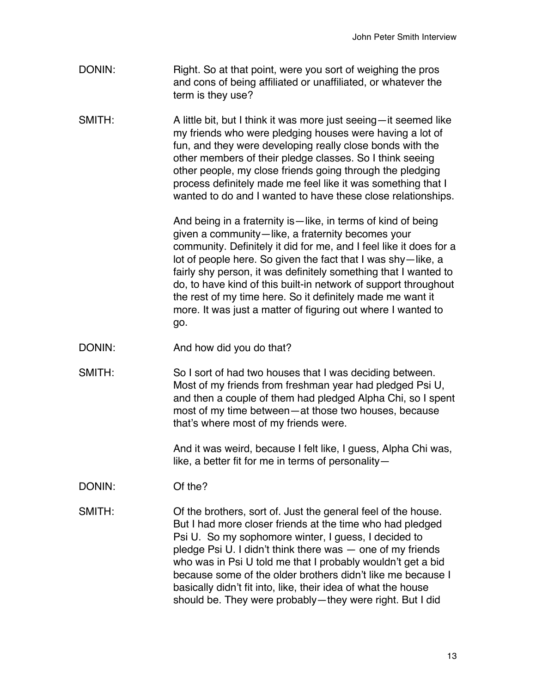- DONIN: Right. So at that point, were you sort of weighing the pros and cons of being affiliated or unaffiliated, or whatever the term is they use?
- SMITH: A little bit, but I think it was more just seeing—it seemed like my friends who were pledging houses were having a lot of fun, and they were developing really close bonds with the other members of their pledge classes. So I think seeing other people, my close friends going through the pledging process definitely made me feel like it was something that I wanted to do and I wanted to have these close relationships.

And being in a fraternity is—like, in terms of kind of being given a community—like, a fraternity becomes your community. Definitely it did for me, and I feel like it does for a lot of people here. So given the fact that I was shy—like, a fairly shy person, it was definitely something that I wanted to do, to have kind of this built-in network of support throughout the rest of my time here. So it definitely made me want it more. It was just a matter of figuring out where I wanted to go.

- DONIN: And how did you do that?
- SMITH: So I sort of had two houses that I was deciding between. Most of my friends from freshman year had pledged Psi U, and then a couple of them had pledged Alpha Chi, so I spent most of my time between—at those two houses, because that's where most of my friends were.

And it was weird, because I felt like, I guess, Alpha Chi was, like, a better fit for me in terms of personality—

DONIN: Of the?

SMITH: Of the brothers, sort of. Just the general feel of the house. But I had more closer friends at the time who had pledged Psi U. So my sophomore winter, I guess, I decided to pledge Psi U. I didn't think there was — one of my friends who was in Psi U told me that I probably wouldn't get a bid because some of the older brothers didn't like me because I basically didn't fit into, like, their idea of what the house should be. They were probably—they were right. But I did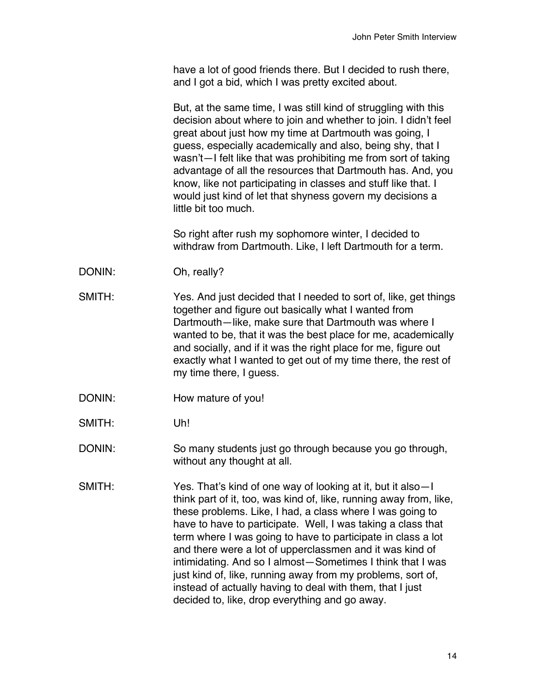have a lot of good friends there. But I decided to rush there, and I got a bid, which I was pretty excited about.

But, at the same time, I was still kind of struggling with this decision about where to join and whether to join. I didn't feel great about just how my time at Dartmouth was going, I guess, especially academically and also, being shy, that I wasn't—I felt like that was prohibiting me from sort of taking advantage of all the resources that Dartmouth has. And, you know, like not participating in classes and stuff like that. I would just kind of let that shyness govern my decisions a little bit too much.

So right after rush my sophomore winter, I decided to withdraw from Dartmouth. Like, I left Dartmouth for a term.

- DONIN: Oh, really?
- SMITH: Yes. And just decided that I needed to sort of, like, get things together and figure out basically what I wanted from Dartmouth—like, make sure that Dartmouth was where I wanted to be, that it was the best place for me, academically and socially, and if it was the right place for me, figure out exactly what I wanted to get out of my time there, the rest of my time there, I guess.
- DONIN: How mature of you!
- SMITH: Uh!
- DONIN: So many students just go through because you go through, without any thought at all.
- SMITH: Yes. That's kind of one way of looking at it, but it also—I think part of it, too, was kind of, like, running away from, like, these problems. Like, I had, a class where I was going to have to have to participate. Well, I was taking a class that term where I was going to have to participate in class a lot and there were a lot of upperclassmen and it was kind of intimidating. And so I almost—Sometimes I think that I was just kind of, like, running away from my problems, sort of, instead of actually having to deal with them, that I just decided to, like, drop everything and go away.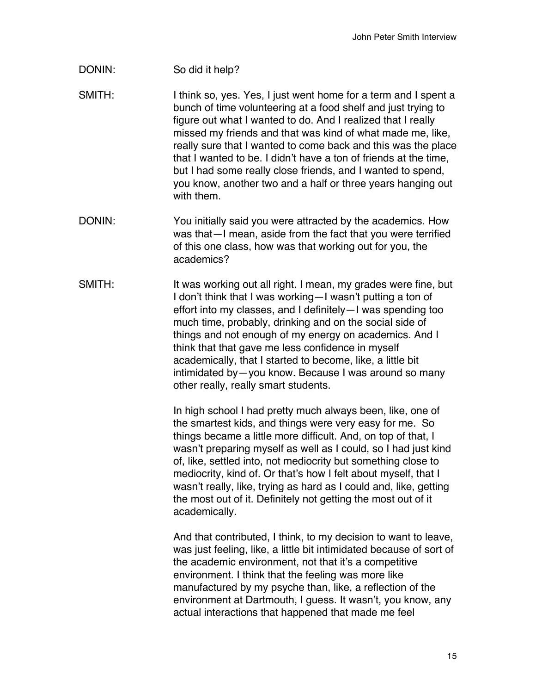## DONIN: So did it help?

SMITH: I think so, yes. Yes, I just went home for a term and I spent a bunch of time volunteering at a food shelf and just trying to figure out what I wanted to do. And I realized that I really missed my friends and that was kind of what made me, like, really sure that I wanted to come back and this was the place that I wanted to be. I didn't have a ton of friends at the time, but I had some really close friends, and I wanted to spend, you know, another two and a half or three years hanging out with them.

- DONIN: You initially said you were attracted by the academics. How was that—I mean, aside from the fact that you were terrified of this one class, how was that working out for you, the academics?
- SMITH: It was working out all right. I mean, my grades were fine, but I don't think that I was working—I wasn't putting a ton of effort into my classes, and I definitely—I was spending too much time, probably, drinking and on the social side of things and not enough of my energy on academics. And I think that that gave me less confidence in myself academically, that I started to become, like, a little bit intimidated by—you know. Because I was around so many other really, really smart students.

In high school I had pretty much always been, like, one of the smartest kids, and things were very easy for me. So things became a little more difficult. And, on top of that, I wasn't preparing myself as well as I could, so I had just kind of, like, settled into, not mediocrity but something close to mediocrity, kind of. Or that's how I felt about myself, that I wasn't really, like, trying as hard as I could and, like, getting the most out of it. Definitely not getting the most out of it academically.

And that contributed, I think, to my decision to want to leave, was just feeling, like, a little bit intimidated because of sort of the academic environment, not that it's a competitive environment. I think that the feeling was more like manufactured by my psyche than, like, a reflection of the environment at Dartmouth, I guess. It wasn't, you know, any actual interactions that happened that made me feel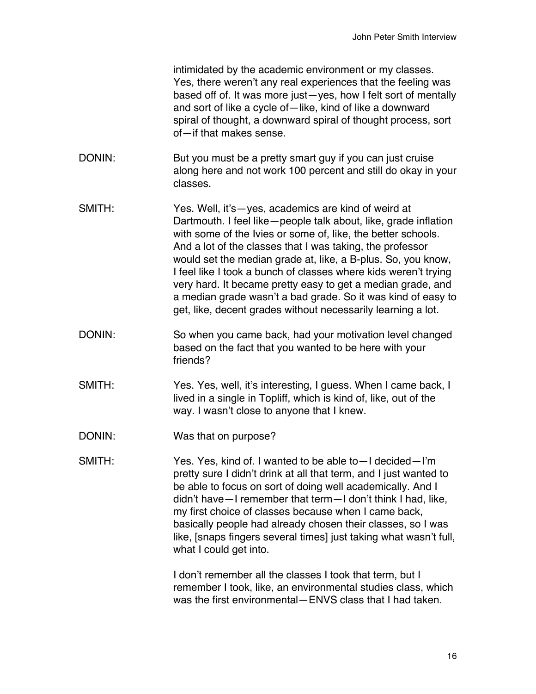intimidated by the academic environment or my classes. Yes, there weren't any real experiences that the feeling was based off of. It was more just—yes, how I felt sort of mentally and sort of like a cycle of—like, kind of like a downward spiral of thought, a downward spiral of thought process, sort of—if that makes sense.

- DONIN: But you must be a pretty smart guy if you can just cruise along here and not work 100 percent and still do okay in your classes.
- SMITH: Yes. Well, it's—yes, academics are kind of weird at Dartmouth. I feel like—people talk about, like, grade inflation with some of the Ivies or some of, like, the better schools. And a lot of the classes that I was taking, the professor would set the median grade at, like, a B-plus. So, you know, I feel like I took a bunch of classes where kids weren't trying very hard. It became pretty easy to get a median grade, and a median grade wasn't a bad grade. So it was kind of easy to get, like, decent grades without necessarily learning a lot.
- DONIN: So when you came back, had your motivation level changed based on the fact that you wanted to be here with your friends?
- SMITH: Yes. Yes, well, it's interesting, I guess. When I came back, I lived in a single in Topliff, which is kind of, like, out of the way. I wasn't close to anyone that I knew.
- DONIN: Was that on purpose?
- SMITH: Yes. Yes, kind of. I wanted to be able to—I decided—I'm pretty sure I didn't drink at all that term, and I just wanted to be able to focus on sort of doing well academically. And I didn't have—I remember that term—I don't think I had, like, my first choice of classes because when I came back, basically people had already chosen their classes, so I was like, [snaps fingers several times] just taking what wasn't full, what I could get into.

I don't remember all the classes I took that term, but I remember I took, like, an environmental studies class, which was the first environmental—FNVS class that I had taken.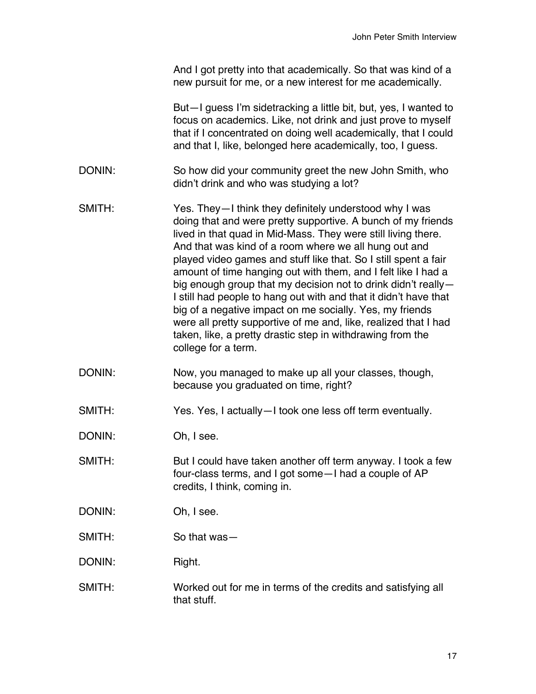And I got pretty into that academically. So that was kind of a new pursuit for me, or a new interest for me academically.

But—I guess I'm sidetracking a little bit, but, yes, I wanted to focus on academics. Like, not drink and just prove to myself that if I concentrated on doing well academically, that I could and that I, like, belonged here academically, too, I guess.

- DONIN: So how did your community greet the new John Smith, who didn't drink and who was studying a lot?
- SMITH: Yes. They—I think they definitely understood why I was doing that and were pretty supportive. A bunch of my friends lived in that quad in Mid-Mass. They were still living there. And that was kind of a room where we all hung out and played video games and stuff like that. So I still spent a fair amount of time hanging out with them, and I felt like I had a big enough group that my decision not to drink didn't really— I still had people to hang out with and that it didn't have that big of a negative impact on me socially. Yes, my friends were all pretty supportive of me and, like, realized that I had taken, like, a pretty drastic step in withdrawing from the college for a term.
- DONIN: Now, you managed to make up all your classes, though, because you graduated on time, right?
- SMITH: Yes. Yes, I actually—I took one less off term eventually.
- DONIN: Oh, I see.
- SMITH: But I could have taken another off term anyway. I took a few four-class terms, and I got some—I had a couple of AP credits, I think, coming in.
- DONIN: Oh, I see.
- SMITH: So that was—
- DONIN: Right.
- SMITH: Worked out for me in terms of the credits and satisfying all that stuff.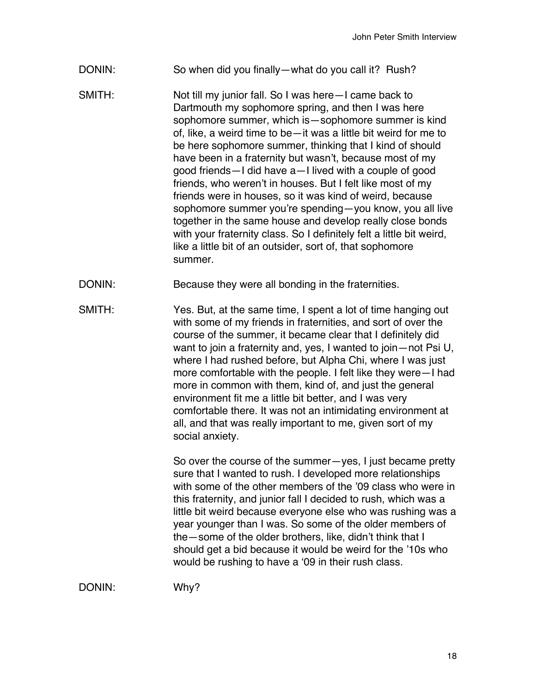- DONIN: So when did you finally—what do you call it? Rush?
- SMITH: Not till my junior fall. So I was here—I came back to Dartmouth my sophomore spring, and then I was here sophomore summer, which is—sophomore summer is kind of, like, a weird time to be—it was a little bit weird for me to be here sophomore summer, thinking that I kind of should have been in a fraternity but wasn't, because most of my good friends—I did have a—I lived with a couple of good friends, who weren't in houses. But I felt like most of my friends were in houses, so it was kind of weird, because sophomore summer you're spending—you know, you all live together in the same house and develop really close bonds with your fraternity class. So I definitely felt a little bit weird, like a little bit of an outsider, sort of, that sophomore summer.
- DONIN: Because they were all bonding in the fraternities.
- SMITH: Yes. But, at the same time, I spent a lot of time hanging out with some of my friends in fraternities, and sort of over the course of the summer, it became clear that I definitely did want to join a fraternity and, yes, I wanted to join—not Psi U, where I had rushed before, but Alpha Chi, where I was just more comfortable with the people. I felt like they were—I had more in common with them, kind of, and just the general environment fit me a little bit better, and I was very comfortable there. It was not an intimidating environment at all, and that was really important to me, given sort of my social anxiety.

So over the course of the summer—yes, I just became pretty sure that I wanted to rush. I developed more relationships with some of the other members of the '09 class who were in this fraternity, and junior fall I decided to rush, which was a little bit weird because everyone else who was rushing was a year younger than I was. So some of the older members of the—some of the older brothers, like, didn't think that I should get a bid because it would be weird for the '10s who would be rushing to have a ʻ09 in their rush class.

DONIN: Why?

18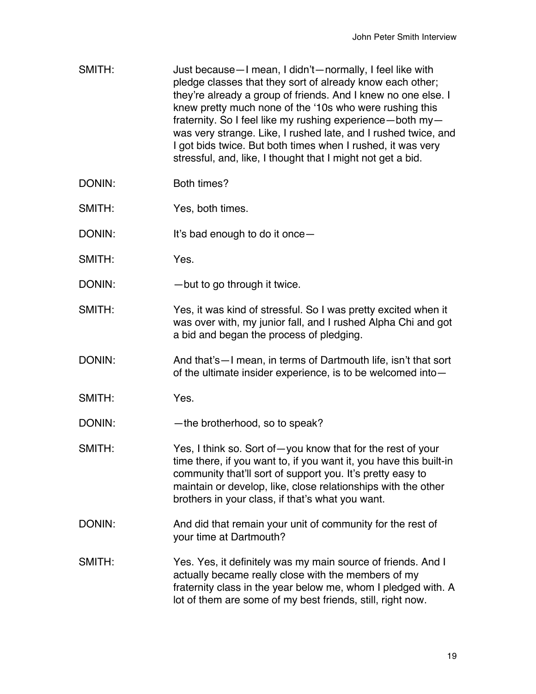| SMITH: | Just because - I mean, I didn't - normally, I feel like with<br>pledge classes that they sort of already know each other;<br>they're already a group of friends. And I knew no one else. I<br>knew pretty much none of the '10s who were rushing this<br>fraternity. So I feel like my rushing experience-both my-<br>was very strange. Like, I rushed late, and I rushed twice, and<br>I got bids twice. But both times when I rushed, it was very<br>stressful, and, like, I thought that I might not get a bid. |
|--------|--------------------------------------------------------------------------------------------------------------------------------------------------------------------------------------------------------------------------------------------------------------------------------------------------------------------------------------------------------------------------------------------------------------------------------------------------------------------------------------------------------------------|
| DONIN: | Both times?                                                                                                                                                                                                                                                                                                                                                                                                                                                                                                        |
| SMITH: | Yes, both times.                                                                                                                                                                                                                                                                                                                                                                                                                                                                                                   |
| DONIN: | It's bad enough to do it once-                                                                                                                                                                                                                                                                                                                                                                                                                                                                                     |
| SMITH: | Yes.                                                                                                                                                                                                                                                                                                                                                                                                                                                                                                               |
| DONIN: | - but to go through it twice.                                                                                                                                                                                                                                                                                                                                                                                                                                                                                      |
| SMITH: | Yes, it was kind of stressful. So I was pretty excited when it<br>was over with, my junior fall, and I rushed Alpha Chi and got<br>a bid and began the process of pledging.                                                                                                                                                                                                                                                                                                                                        |
| DONIN: | And that's - I mean, in terms of Dartmouth life, isn't that sort<br>of the ultimate insider experience, is to be welcomed into-                                                                                                                                                                                                                                                                                                                                                                                    |
| SMITH: | Yes.                                                                                                                                                                                                                                                                                                                                                                                                                                                                                                               |
| DONIN: | -the brotherhood, so to speak?                                                                                                                                                                                                                                                                                                                                                                                                                                                                                     |
| SMITH: | Yes, I think so. Sort of - you know that for the rest of your<br>time there, if you want to, if you want it, you have this built-in<br>community that'll sort of support you. It's pretty easy to<br>maintain or develop, like, close relationships with the other<br>brothers in your class, if that's what you want.                                                                                                                                                                                             |
| DONIN: | And did that remain your unit of community for the rest of<br>your time at Dartmouth?                                                                                                                                                                                                                                                                                                                                                                                                                              |
| SMITH: | Yes. Yes, it definitely was my main source of friends. And I<br>actually became really close with the members of my<br>fraternity class in the year below me, whom I pledged with. A<br>lot of them are some of my best friends, still, right now.                                                                                                                                                                                                                                                                 |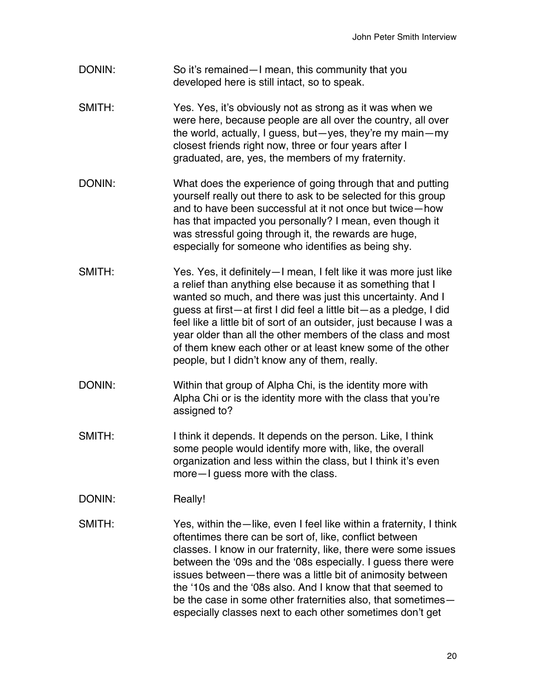- DONIN: So it's remained—I mean, this community that you developed here is still intact, so to speak.
- SMITH: Yes. Yes, it's obviously not as strong as it was when we were here, because people are all over the country, all over the world, actually, I guess, but—yes, they're my main—my closest friends right now, three or four years after I graduated, are, yes, the members of my fraternity.
- DONIN: What does the experience of going through that and putting yourself really out there to ask to be selected for this group and to have been successful at it not once but twice—how has that impacted you personally? I mean, even though it was stressful going through it, the rewards are huge, especially for someone who identifies as being shy.
- SMITH: Yes. Yes, it definitely—I mean, I felt like it was more just like a relief than anything else because it as something that I wanted so much, and there was just this uncertainty. And I guess at first—at first I did feel a little bit—as a pledge, I did feel like a little bit of sort of an outsider, just because I was a year older than all the other members of the class and most of them knew each other or at least knew some of the other people, but I didn't know any of them, really.
- DONIN: Within that group of Alpha Chi, is the identity more with Alpha Chi or is the identity more with the class that you're assigned to?
- SMITH: I think it depends. It depends on the person. Like, I think some people would identify more with, like, the overall organization and less within the class, but I think it's even more—I guess more with the class.
- DONIN: Really!
- SMITH: Yes, within the—like, even I feel like within a fraternity, I think oftentimes there can be sort of, like, conflict between classes. I know in our fraternity, like, there were some issues between the ʻ09s and the ʻ08s especially. I guess there were issues between—there was a little bit of animosity between the ʻ10s and the ʻ08s also. And I know that that seemed to be the case in some other fraternities also, that sometimes especially classes next to each other sometimes don't get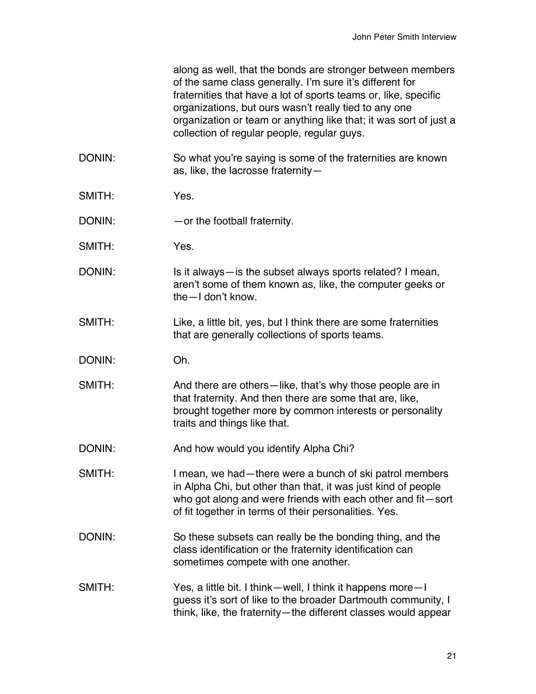along as well, that the bonds are stronger between members of the same class generally. I'm sure it's different for fraternities that have a lot of sports teams or, like, specific organizations, but ours wasn't really tied to any one organization or team or anything like that; it was sort of just a collection of regular people, regular guys.

- DONIN: So what you're saying is some of the fraternities are known as, like, the lacrosse fraternity—
- SMITH: Yes.
- DONIN: — or the football fraternity.
- SMITH: Yes.
- DONIN: Is it always—is the subset always sports related? I mean, aren't some of them known as, like, the computer geeks or the—I don't know.
- SMITH: Like, a little bit, yes, but I think there are some fraternities that are generally collections of sports teams.
- DONIN: Oh.
- SMITH: And there are others—like, that's why those people are in that fraternity. And then there are some that are, like, brought together more by common interests or personality traits and things like that.
- DONIN: And how would you identify Alpha Chi?
- SMITH: I mean, we had—there were a bunch of ski patrol members in Alpha Chi, but other than that, it was just kind of people who got along and were friends with each other and fit—sort of fit together in terms of their personalities. Yes.
- DONIN: So these subsets can really be the bonding thing, and the class identification or the fraternity identification can sometimes compete with one another.
- SMITH: Yes, a little bit. I think—well, I think it happens more—I guess it's sort of like to the broader Dartmouth community, I think, like, the fraternity—the different classes would appear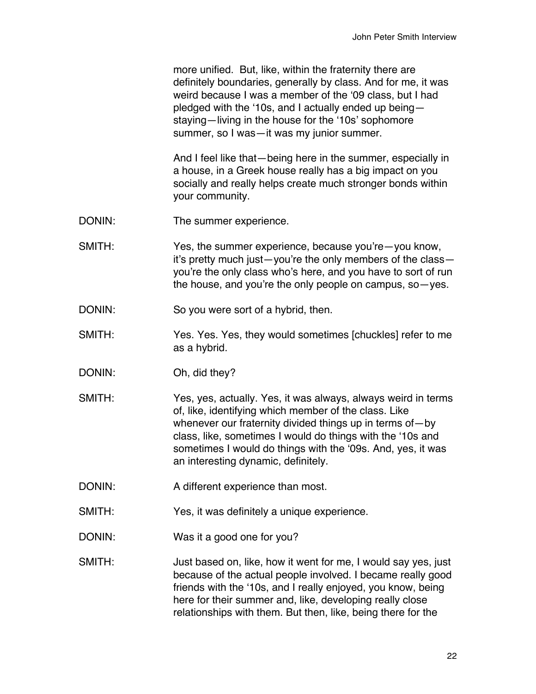more unified. But, like, within the fraternity there are definitely boundaries, generally by class. And for me, it was weird because I was a member of the ʻ09 class, but I had pledged with the ʻ10s, and I actually ended up being staying—living in the house for the ʻ10s' sophomore summer, so I was—it was my junior summer.

And I feel like that—being here in the summer, especially in a house, in a Greek house really has a big impact on you socially and really helps create much stronger bonds within your community.

- DONIN: The summer experience.
- SMITH: Yes, the summer experience, because you're—you know, it's pretty much just—you're the only members of the class you're the only class who's here, and you have to sort of run the house, and you're the only people on campus, so—yes.
- DONIN: So you were sort of a hybrid, then.
- SMITH: Yes. Yes. Yes, they would sometimes [chuckles] refer to me as a hybrid.
- DONIN: Oh, did they?
- SMITH: Yes, yes, actually. Yes, it was always, always weird in terms of, like, identifying which member of the class. Like whenever our fraternity divided things up in terms of—by class, like, sometimes I would do things with the ʻ10s and sometimes I would do things with the ʻ09s. And, yes, it was an interesting dynamic, definitely.
- DONIN: A different experience than most.
- SMITH: Yes, it was definitely a unique experience.
- DONIN: Was it a good one for you?
- SMITH: Just based on, like, how it went for me, I would say yes, just because of the actual people involved. I became really good friends with the ʻ10s, and I really enjoyed, you know, being here for their summer and, like, developing really close relationships with them. But then, like, being there for the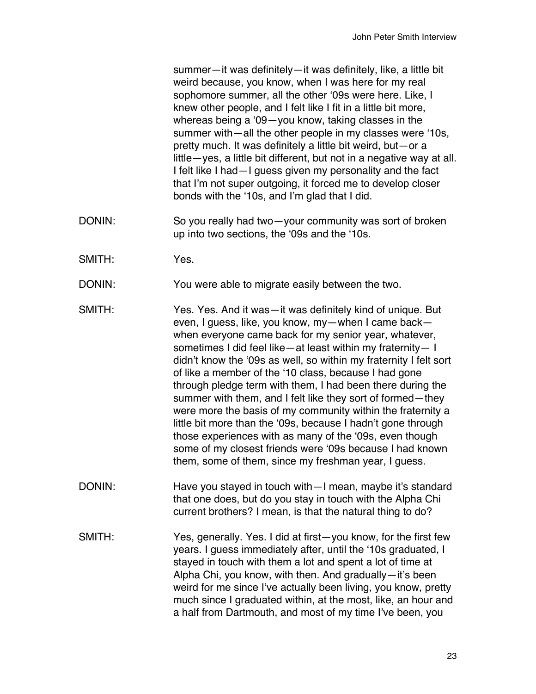summer—it was definitely—it was definitely, like, a little bit weird because, you know, when I was here for my real sophomore summer, all the other ʻ09s were here. Like, I knew other people, and I felt like I fit in a little bit more, whereas being a ʻ09—you know, taking classes in the summer with—all the other people in my classes were ʻ10s, pretty much. It was definitely a little bit weird, but—or a little—yes, a little bit different, but not in a negative way at all. I felt like I had—I guess given my personality and the fact that I'm not super outgoing, it forced me to develop closer bonds with the ʻ10s, and I'm glad that I did.

- DONIN: So you really had two—your community was sort of broken up into two sections, the ʻ09s and the ʻ10s.
- SMITH: Yes.
- DONIN: You were able to migrate easily between the two.
- SMITH: Yes. Yes. And it was—it was definitely kind of unique. But even, I guess, like, you know, my—when I came back when everyone came back for my senior year, whatever, sometimes I did feel like—at least within my fraternity— I didn't know the ʻ09s as well, so within my fraternity I felt sort of like a member of the ʻ10 class, because I had gone through pledge term with them, I had been there during the summer with them, and I felt like they sort of formed—they were more the basis of my community within the fraternity a little bit more than the ʻ09s, because I hadn't gone through those experiences with as many of the ʻ09s, even though some of my closest friends were ʻ09s because I had known them, some of them, since my freshman year, I guess.
- DONIN: Have you stayed in touch with—I mean, maybe it's standard that one does, but do you stay in touch with the Alpha Chi current brothers? I mean, is that the natural thing to do?
- SMITH: Yes, generally. Yes. I did at first—you know, for the first few years. I guess immediately after, until the ʻ10s graduated, I stayed in touch with them a lot and spent a lot of time at Alpha Chi, you know, with then. And gradually—it's been weird for me since I've actually been living, you know, pretty much since I graduated within, at the most, like, an hour and a half from Dartmouth, and most of my time I've been, you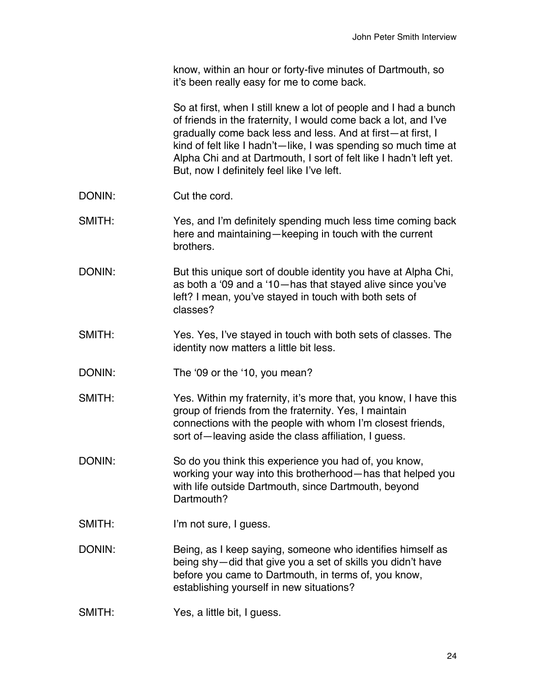know, within an hour or forty-five minutes of Dartmouth, so it's been really easy for me to come back.

So at first, when I still knew a lot of people and I had a bunch of friends in the fraternity, I would come back a lot, and I've gradually come back less and less. And at first—at first, I kind of felt like I hadn't—like, I was spending so much time at Alpha Chi and at Dartmouth, I sort of felt like I hadn't left yet. But, now I definitely feel like I've left.

- DONIN: Cut the cord.
- SMITH: Yes, and I'm definitely spending much less time coming back here and maintaining—keeping in touch with the current brothers.
- DONIN: But this unique sort of double identity you have at Alpha Chi, as both a ʻ09 and a ʻ10—has that stayed alive since you've left? I mean, you've stayed in touch with both sets of classes?
- SMITH: Yes. Yes, I've stayed in touch with both sets of classes. The identity now matters a little bit less.
- DONIN: The '09 or the '10, you mean?

SMITH: Yes. Within my fraternity, it's more that, you know, I have this group of friends from the fraternity. Yes, I maintain connections with the people with whom I'm closest friends, sort of—leaving aside the class affiliation, I guess.

- DONIN: So do you think this experience you had of, you know, working your way into this brotherhood—has that helped you with life outside Dartmouth, since Dartmouth, beyond Dartmouth?
- SMITH: I'm not sure, I guess.

DONIN: Being, as I keep saying, someone who identifies himself as being shy—did that give you a set of skills you didn't have before you came to Dartmouth, in terms of, you know, establishing yourself in new situations?

SMITH: Yes, a little bit, I quess.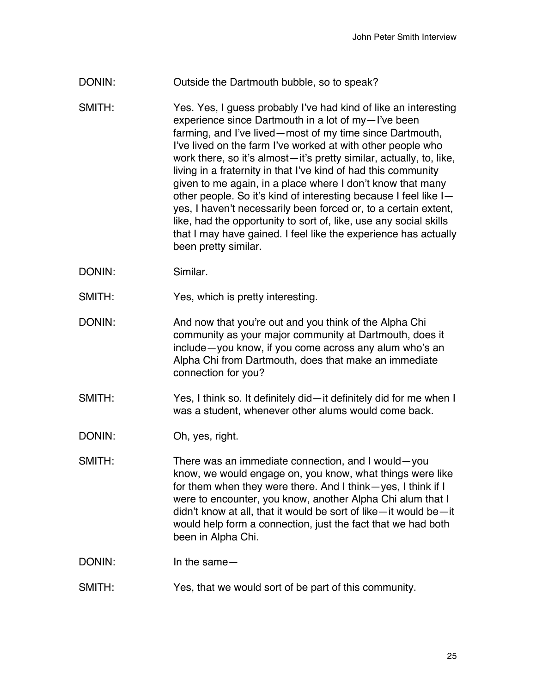- DONIN: Outside the Dartmouth bubble, so to speak?
- SMITH: Yes. Yes, I guess probably I've had kind of like an interesting experience since Dartmouth in a lot of my—I've been farming, and I've lived—most of my time since Dartmouth, I've lived on the farm I've worked at with other people who work there, so it's almost—it's pretty similar, actually, to, like, living in a fraternity in that I've kind of had this community given to me again, in a place where I don't know that many other people. So it's kind of interesting because I feel like I yes, I haven't necessarily been forced or, to a certain extent, like, had the opportunity to sort of, like, use any social skills that I may have gained. I feel like the experience has actually been pretty similar.
- DONIN: Similar.

SMITH: Yes, which is pretty interesting.

- DONIN: And now that you're out and you think of the Alpha Chi community as your major community at Dartmouth, does it include—you know, if you come across any alum who's an Alpha Chi from Dartmouth, does that make an immediate connection for you?
- SMITH: Yes, I think so. It definitely did—it definitely did for me when I was a student, whenever other alums would come back.
- DONIN: Oh, yes, right.
- SMITH: There was an immediate connection, and I would—you know, we would engage on, you know, what things were like for them when they were there. And I think—yes, I think if I were to encounter, you know, another Alpha Chi alum that I didn't know at all, that it would be sort of like—it would be—it would help form a connection, just the fact that we had both been in Alpha Chi.

DONIN: In the same—

SMITH: Yes, that we would sort of be part of this community.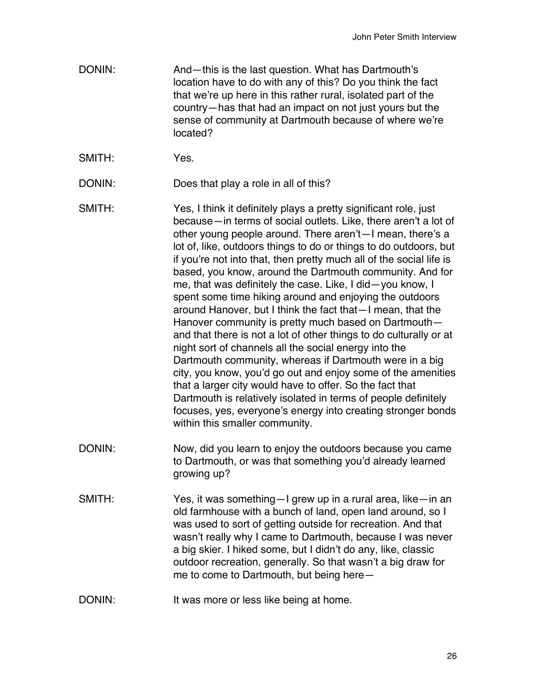- DONIN: And—this is the last question. What has Dartmouth's location have to do with any of this? Do you think the fact that we're up here in this rather rural, isolated part of the country—has that had an impact on not just yours but the sense of community at Dartmouth because of where we're located?
- SMITH: Yes.

DONIN: Does that play a role in all of this?

- SMITH: Yes, I think it definitely plays a pretty significant role, just because—in terms of social outlets. Like, there aren't a lot of other young people around. There aren't—I mean, there's a lot of, like, outdoors things to do or things to do outdoors, but if you're not into that, then pretty much all of the social life is based, you know, around the Dartmouth community. And for me, that was definitely the case. Like, I did—you know, I spent some time hiking around and enjoying the outdoors around Hanover, but I think the fact that—I mean, that the Hanover community is pretty much based on Dartmouth and that there is not a lot of other things to do culturally or at night sort of channels all the social energy into the Dartmouth community, whereas if Dartmouth were in a big city, you know, you'd go out and enjoy some of the amenities that a larger city would have to offer. So the fact that Dartmouth is relatively isolated in terms of people definitely focuses, yes, everyone's energy into creating stronger bonds within this smaller community.
- DONIN: Now, did you learn to enjoy the outdoors because you came to Dartmouth, or was that something you'd already learned growing up?
- SMITH: Yes, it was something—I grew up in a rural area, like—in an old farmhouse with a bunch of land, open land around, so I was used to sort of getting outside for recreation. And that wasn't really why I came to Dartmouth, because I was never a big skier. I hiked some, but I didn't do any, like, classic outdoor recreation, generally. So that wasn't a big draw for me to come to Dartmouth, but being here—
- DONIN: It was more or less like being at home.